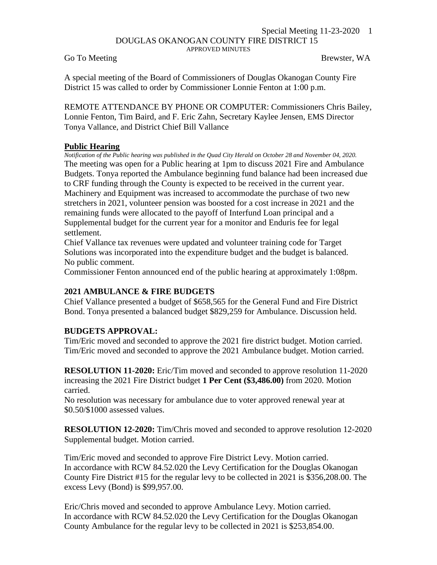#### Special Meeting 11-23-2020 1 DOUGLAS OKANOGAN COUNTY FIRE DISTRICT 15 APPROVED MINUTES

Go To Meeting Brewster, WA

A special meeting of the Board of Commissioners of Douglas Okanogan County Fire District 15 was called to order by Commissioner Lonnie Fenton at 1:00 p.m.

REMOTE ATTENDANCE BY PHONE OR COMPUTER: Commissioners Chris Bailey, Lonnie Fenton, Tim Baird, and F. Eric Zahn, Secretary Kaylee Jensen, EMS Director Tonya Vallance, and District Chief Bill Vallance

#### **Public Hearing**

*Notification of the Public hearing was published in the Quad City Herald on October 28 and November 04, 2020.* The meeting was open for a Public hearing at 1pm to discuss 2021 Fire and Ambulance Budgets. Tonya reported the Ambulance beginning fund balance had been increased due to CRF funding through the County is expected to be received in the current year. Machinery and Equipment was increased to accommodate the purchase of two new stretchers in 2021, volunteer pension was boosted for a cost increase in 2021 and the remaining funds were allocated to the payoff of Interfund Loan principal and a Supplemental budget for the current year for a monitor and Enduris fee for legal settlement.

Chief Vallance tax revenues were updated and volunteer training code for Target Solutions was incorporated into the expenditure budget and the budget is balanced. No public comment.

Commissioner Fenton announced end of the public hearing at approximately 1:08pm.

## **2021 AMBULANCE & FIRE BUDGETS**

Chief Vallance presented a budget of \$658,565 for the General Fund and Fire District Bond. Tonya presented a balanced budget \$829,259 for Ambulance. Discussion held.

## **BUDGETS APPROVAL:**

Tim/Eric moved and seconded to approve the 2021 fire district budget. Motion carried. Tim/Eric moved and seconded to approve the 2021 Ambulance budget. Motion carried.

**RESOLUTION 11-2020:** Eric/Tim moved and seconded to approve resolution 11-2020 increasing the 2021 Fire District budget **1 Per Cent (\$3,486.00)** from 2020. Motion carried.

No resolution was necessary for ambulance due to voter approved renewal year at \$0.50/\$1000 assessed values.

**RESOLUTION 12-2020:** Tim/Chris moved and seconded to approve resolution 12-2020 Supplemental budget. Motion carried.

Tim/Eric moved and seconded to approve Fire District Levy. Motion carried. In accordance with RCW 84.52.020 the Levy Certification for the Douglas Okanogan County Fire District #15 for the regular levy to be collected in 2021 is \$356,208.00. The excess Levy (Bond) is \$99,957.00.

Eric/Chris moved and seconded to approve Ambulance Levy. Motion carried. In accordance with RCW 84.52.020 the Levy Certification for the Douglas Okanogan County Ambulance for the regular levy to be collected in 2021 is \$253,854.00.